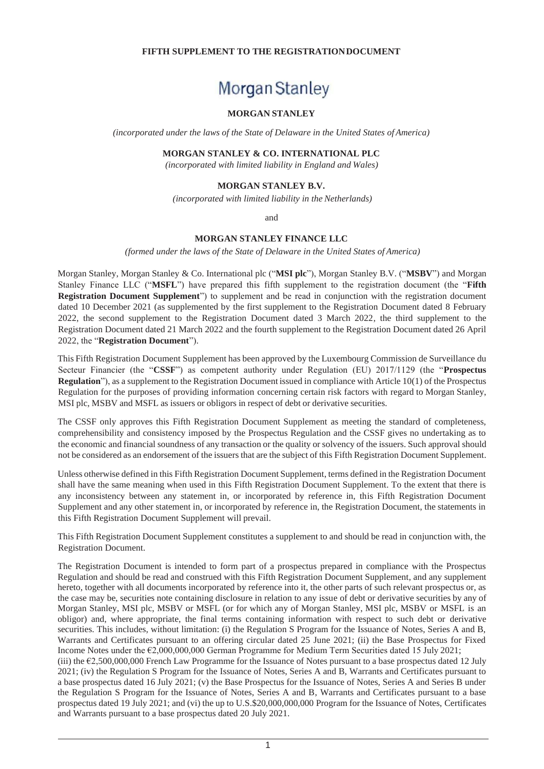## **FIFTH SUPPLEMENT TO THE REGISTRATIONDOCUMENT**

# Morgan Stanley

# **MORGAN STANLEY**

*(incorporated under the laws of the State of Delaware in the United States of America)*

#### **MORGAN STANLEY & CO. INTERNATIONAL PLC**

*(incorporated with limited liability in England and Wales)*

## **MORGAN STANLEY B.V.**

*(incorporated with limited liability in the Netherlands)*

and

## **MORGAN STANLEY FINANCE LLC**

*(formed under the laws of the State of Delaware in the United States of America)*

Morgan Stanley, Morgan Stanley & Co. International plc ("**MSI plc**"), Morgan Stanley B.V. ("**MSBV**") and Morgan Stanley Finance LLC ("**MSFL**") have prepared this fifth supplement to the registration document (the "**Fifth Registration Document Supplement**") to supplement and be read in conjunction with the registration document dated 10 December 2021 (as supplemented by the first supplement to the Registration Document dated 8 February 2022, the second supplement to the Registration Document dated 3 March 2022, the third supplement to the Registration Document dated 21 March 2022 and the fourth supplement to the Registration Document dated 26 April 2022, the "**Registration Document**").

This Fifth Registration Document Supplement has been approved by the Luxembourg Commission de Surveillance du Secteur Financier (the "**CSSF**") as competent authority under Regulation (EU) 2017/1129 (the "**Prospectus Regulation**"), as a supplement to the Registration Document issued in compliance with Article 10(1) of the Prospectus Regulation for the purposes of providing information concerning certain risk factors with regard to Morgan Stanley, MSI plc, MSBV and MSFL as issuers or obligors in respect of debt or derivative securities.

The CSSF only approves this Fifth Registration Document Supplement as meeting the standard of completeness, comprehensibility and consistency imposed by the Prospectus Regulation and the CSSF gives no undertaking as to the economic and financial soundness of any transaction or the quality or solvency of the issuers. Such approval should not be considered as an endorsement of the issuers that are the subject of this Fifth Registration Document Supplement.

Unless otherwise defined in this Fifth Registration Document Supplement, terms defined in the Registration Document shall have the same meaning when used in this Fifth Registration Document Supplement. To the extent that there is any inconsistency between any statement in, or incorporated by reference in, this Fifth Registration Document Supplement and any other statement in, or incorporated by reference in, the Registration Document, the statements in this Fifth Registration Document Supplement will prevail.

This Fifth Registration Document Supplement constitutes a supplement to and should be read in conjunction with, the Registration Document.

The Registration Document is intended to form part of a prospectus prepared in compliance with the Prospectus Regulation and should be read and construed with this Fifth Registration Document Supplement, and any supplement hereto, together with all documents incorporated by reference into it, the other parts of such relevant prospectus or, as the case may be, securities note containing disclosure in relation to any issue of debt or derivative securities by any of Morgan Stanley, MSI plc, MSBV or MSFL (or for which any of Morgan Stanley, MSI plc, MSBV or MSFL is an obligor) and, where appropriate, the final terms containing information with respect to such debt or derivative securities. This includes, without limitation: (i) the Regulation S Program for the Issuance of Notes, Series A and B, Warrants and Certificates pursuant to an offering circular dated 25 June 2021; (ii) the Base Prospectus for Fixed Income Notes under the €2,000,000,000 German Programme for Medium Term Securities dated 15 July 2021;

(iii) the  $E2,500,000,000$  French Law Programme for the Issuance of Notes pursuant to a base prospectus dated 12 July 2021; (iv) the Regulation S Program for the Issuance of Notes, Series A and B, Warrants and Certificates pursuant to a base prospectus dated 16 July 2021; (v) the Base Prospectus for the Issuance of Notes, Series A and Series B under the Regulation S Program for the Issuance of Notes, Series A and B, Warrants and Certificates pursuant to a base prospectus dated 19 July 2021; and (vi) the up to U.S.\$20,000,000,000 Program for the Issuance of Notes, Certificates and Warrants pursuant to a base prospectus dated 20 July 2021.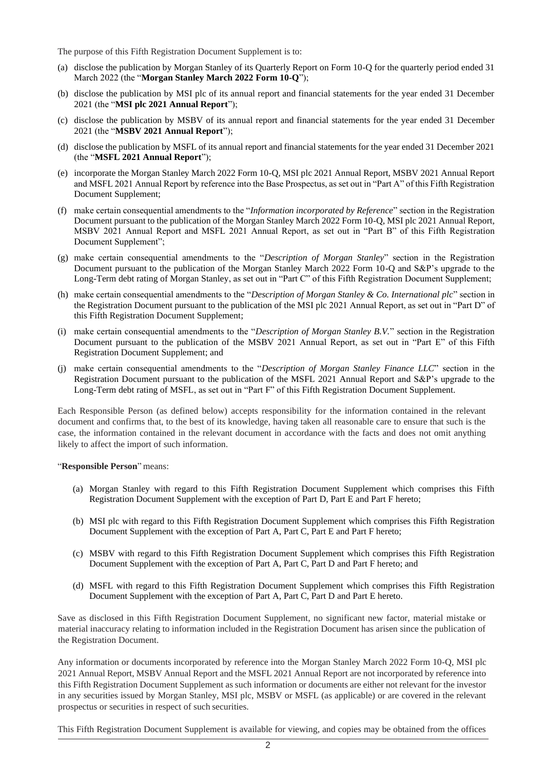The purpose of this Fifth Registration Document Supplement is to:

- (a) disclose the publication by Morgan Stanley of its Quarterly Report on Form 10-Q for the quarterly period ended 31 March 2022 (the "**Morgan Stanley March 2022 Form 10-Q**");
- (b) disclose the publication by MSI plc of its annual report and financial statements for the year ended 31 December 2021 (the "**MSI plc 2021 Annual Report**");
- (c) disclose the publication by MSBV of its annual report and financial statements for the year ended 31 December 2021 (the "**MSBV 2021 Annual Report**");
- (d) disclose the publication by MSFL of its annual report and financial statements for the year ended 31 December 2021 (the "**MSFL 2021 Annual Report**");
- (e) incorporate the Morgan Stanley March 2022 Form 10-Q, MSI plc 2021 Annual Report, MSBV 2021 Annual Report and MSFL 2021 Annual Report by reference into the Base Prospectus, as set out in "Part A" of this Fifth Registration Document Supplement;
- (f) make certain consequential amendments to the "*Information incorporated by Reference*" section in the Registration Document pursuant to the publication of the Morgan Stanley March 2022 Form 10-Q, MSI plc 2021 Annual Report, MSBV 2021 Annual Report and MSFL 2021 Annual Report, as set out in "Part B" of this Fifth Registration Document Supplement";
- (g) make certain consequential amendments to the "*Description of Morgan Stanley*" section in the Registration Document pursuant to the publication of the Morgan Stanley March 2022 Form 10-Q and S&P's upgrade to the Long-Term debt rating of Morgan Stanley, as set out in "Part C" of this Fifth Registration Document Supplement;
- (h) make certain consequential amendments to the "*Description of Morgan Stanley & Co. International plc*" section in the Registration Document pursuant to the publication of the MSI plc 2021 Annual Report, as set out in "Part D" of this Fifth Registration Document Supplement;
- (i) make certain consequential amendments to the "*Description of Morgan Stanley B.V.*" section in the Registration Document pursuant to the publication of the MSBV 2021 Annual Report, as set out in "Part E" of this Fifth Registration Document Supplement; and
- (j) make certain consequential amendments to the "*Description of Morgan Stanley Finance LLC*" section in the Registration Document pursuant to the publication of the MSFL 2021 Annual Report and S&P's upgrade to the Long-Term debt rating of MSFL, as set out in "Part F" of this Fifth Registration Document Supplement.

Each Responsible Person (as defined below) accepts responsibility for the information contained in the relevant document and confirms that, to the best of its knowledge, having taken all reasonable care to ensure that such is the case, the information contained in the relevant document in accordance with the facts and does not omit anything likely to affect the import of such information.

"**Responsible Person**" means:

- (a) Morgan Stanley with regard to this Fifth Registration Document Supplement which comprises this Fifth Registration Document Supplement with the exception of Part D, Part E and Part F hereto;
- (b) MSI plc with regard to this Fifth Registration Document Supplement which comprises this Fifth Registration Document Supplement with the exception of Part A, Part C, Part E and Part F hereto;
- (c) MSBV with regard to this Fifth Registration Document Supplement which comprises this Fifth Registration Document Supplement with the exception of Part A, Part C, Part D and Part F hereto; and
- (d) MSFL with regard to this Fifth Registration Document Supplement which comprises this Fifth Registration Document Supplement with the exception of Part A, Part C, Part D and Part E hereto.

Save as disclosed in this Fifth Registration Document Supplement, no significant new factor, material mistake or material inaccuracy relating to information included in the Registration Document has arisen since the publication of the Registration Document.

Any information or documents incorporated by reference into the Morgan Stanley March 2022 Form 10-Q, MSI plc 2021 Annual Report, MSBV Annual Report and the MSFL 2021 Annual Report are not incorporated by reference into this Fifth Registration Document Supplement as such information or documents are either not relevant for the investor in any securities issued by Morgan Stanley, MSI plc, MSBV or MSFL (as applicable) or are covered in the relevant prospectus or securities in respect of such securities.

This Fifth Registration Document Supplement is available for viewing, and copies may be obtained from the offices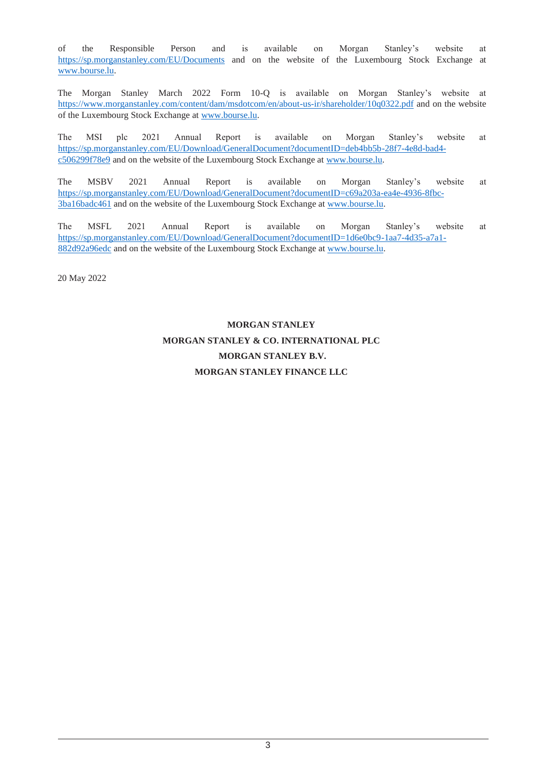of the Responsible Person and is available on Morgan Stanley's website at <https://sp.morganstanley.com/EU/Documents> and on the website of the Luxembourg Stock Exchange at [www.bourse.lu.](http://www.bourse.lu/)

The Morgan Stanley March 2022 Form 10-Q is available on Morgan Stanley's website at <https://www.morganstanley.com/content/dam/msdotcom/en/about-us-ir/shareholder/10q0322.pdf> and on the website of the Luxembourg Stock Exchange at [www.bourse.lu.](http://www.bourse.lu/)

The MSI plc 2021 Annual Report is available on Morgan Stanley's website at [https://sp.morganstanley.com/EU/Download/GeneralDocument?documentID=deb4bb5b-28f7-4e8d-bad4](https://sp.morganstanley.com/EU/Download/GeneralDocument?documentID=deb4bb5b-28f7-4e8d-bad4-c506299f78e9) [c506299f78e9](https://sp.morganstanley.com/EU/Download/GeneralDocument?documentID=deb4bb5b-28f7-4e8d-bad4-c506299f78e9) and on the website of the Luxembourg Stock Exchange at [www.bourse.lu.](http://www.bourse.lu/)

The MSBV 2021 Annual Report is available on Morgan Stanley's website at [https://sp.morganstanley.com/EU/Download/GeneralDocument?documentID=c69a203a-ea4e-4936-8fbc-](https://sp.morganstanley.com/EU/Download/GeneralDocument?documentID=c69a203a-ea4e-4936-8fbc-3ba16badc461)[3ba16badc461](https://sp.morganstanley.com/EU/Download/GeneralDocument?documentID=c69a203a-ea4e-4936-8fbc-3ba16badc461) and on the website of the Luxembourg Stock Exchange at [www.bourse.lu.](http://www.bourse.lu/)

The MSFL 2021 Annual Report is available on Morgan Stanley's website at [https://sp.morganstanley.com/EU/Download/GeneralDocument?documentID=1d6e0bc9-1aa7-4d35-a7a1-](https://sp.morganstanley.com/EU/Download/GeneralDocument?documentID=1d6e0bc9-1aa7-4d35-a7a1-882d92a96edc) [882d92a96edc](https://sp.morganstanley.com/EU/Download/GeneralDocument?documentID=1d6e0bc9-1aa7-4d35-a7a1-882d92a96edc) and on the website of the Luxembourg Stock Exchange at [www.bourse.lu.](http://www.bourse.lu/)

20 May 2022

# **MORGAN STANLEY MORGAN STANLEY & CO. INTERNATIONAL PLC MORGAN STANLEY B.V. MORGAN STANLEY FINANCE LLC**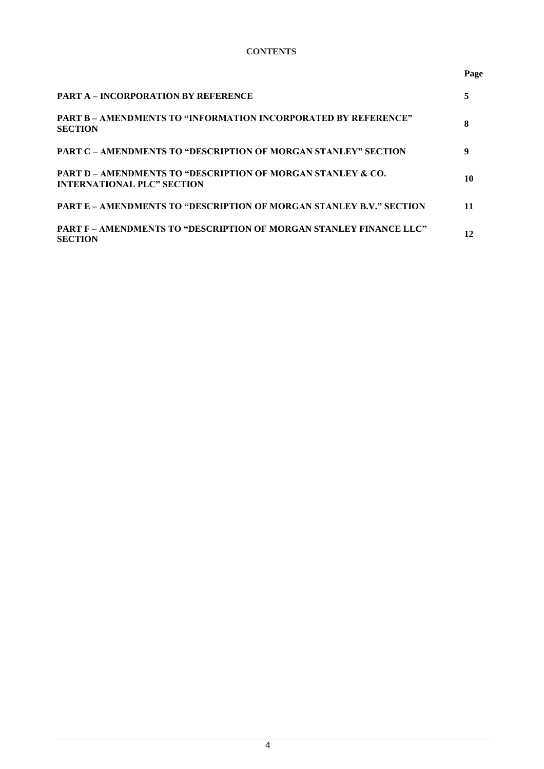# **CONTENTS**

#### **Page**

| <b>PART A – INCORPORATION BY REFERENCE</b>                                                                  |    |
|-------------------------------------------------------------------------------------------------------------|----|
| <b>PART B – AMENDMENTS TO "INFORMATION INCORPORATED BY REFERENCE"</b><br><b>SECTION</b>                     | 8  |
| <b>PART C – AMENDMENTS TO "DESCRIPTION OF MORGAN STANLEY" SECTION</b>                                       | 9  |
| <b>PART D – AMENDMENTS TO "DESCRIPTION OF MORGAN STANLEY &amp; CO.</b><br><b>INTERNATIONAL PLC" SECTION</b> | 10 |
| <b>PART E – AMENDMENTS TO "DESCRIPTION OF MORGAN STANLEY B.V." SECTION</b>                                  |    |
| PART F - AMENDMENTS TO "DESCRIPTION OF MORGAN STANLEY FINANCE LLC"<br>SECTION                               | 12 |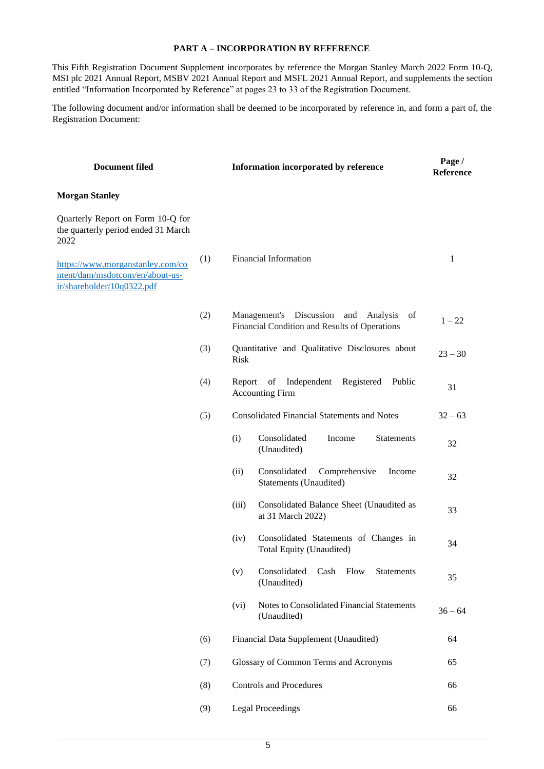#### **PART A – INCORPORATION BY REFERENCE**

This Fifth Registration Document Supplement incorporates by reference the Morgan Stanley March 2022 Form 10-Q, MSI plc 2021 Annual Report, MSBV 2021 Annual Report and MSFL 2021 Annual Report, and supplements the section entitled "Information Incorporated by Reference" at pages 23 to 33 of the Registration Document.

The following document and/or information shall be deemed to be incorporated by reference in, and form a part of, the Registration Document:

| <b>Document filed</b>                                                                             |     | Information incorporated by reference | Page /<br>Reference                                                                            |           |
|---------------------------------------------------------------------------------------------------|-----|---------------------------------------|------------------------------------------------------------------------------------------------|-----------|
| <b>Morgan Stanley</b>                                                                             |     |                                       |                                                                                                |           |
| Quarterly Report on Form 10-Q for<br>the quarterly period ended 31 March<br>2022                  |     |                                       |                                                                                                |           |
| https://www.morganstanley.com/co<br>ntent/dam/msdotcom/en/about-us-<br>ir/shareholder/10q0322.pdf | (1) |                                       | <b>Financial Information</b>                                                                   | 1         |
|                                                                                                   | (2) |                                       | Management's Discussion<br>and Analysis<br>of<br>Financial Condition and Results of Operations | $1 - 22$  |
|                                                                                                   | (3) | <b>Risk</b>                           | Quantitative and Qualitative Disclosures about                                                 | $23 - 30$ |
|                                                                                                   | (4) | Report                                | Independent<br>Registered<br>Public<br>of<br><b>Accounting Firm</b>                            | 31        |
|                                                                                                   | (5) |                                       | <b>Consolidated Financial Statements and Notes</b>                                             | $32 - 63$ |
|                                                                                                   |     | (i)                                   | Consolidated<br>Income<br><b>Statements</b><br>(Unaudited)                                     | 32        |
|                                                                                                   |     | (ii)                                  | Consolidated<br>Comprehensive<br>Income<br>Statements (Unaudited)                              | 32        |
|                                                                                                   |     | (iii)                                 | Consolidated Balance Sheet (Unaudited as<br>at 31 March 2022)                                  | 33        |
|                                                                                                   |     | (iv)                                  | Consolidated Statements of Changes in<br>Total Equity (Unaudited)                              | 34        |
|                                                                                                   |     | (v)                                   | Consolidated<br>Cash<br>Flow<br>Statements<br>(Unaudited)                                      | 35        |
|                                                                                                   |     | (vi)                                  | Notes to Consolidated Financial Statements<br>(Unaudited)                                      | $36 - 64$ |
|                                                                                                   | (6) |                                       | Financial Data Supplement (Unaudited)                                                          | 64        |
|                                                                                                   | (7) |                                       | Glossary of Common Terms and Acronyms                                                          | 65        |
|                                                                                                   | (8) |                                       | <b>Controls and Procedures</b>                                                                 | 66        |
|                                                                                                   | (9) |                                       | <b>Legal Proceedings</b>                                                                       | 66        |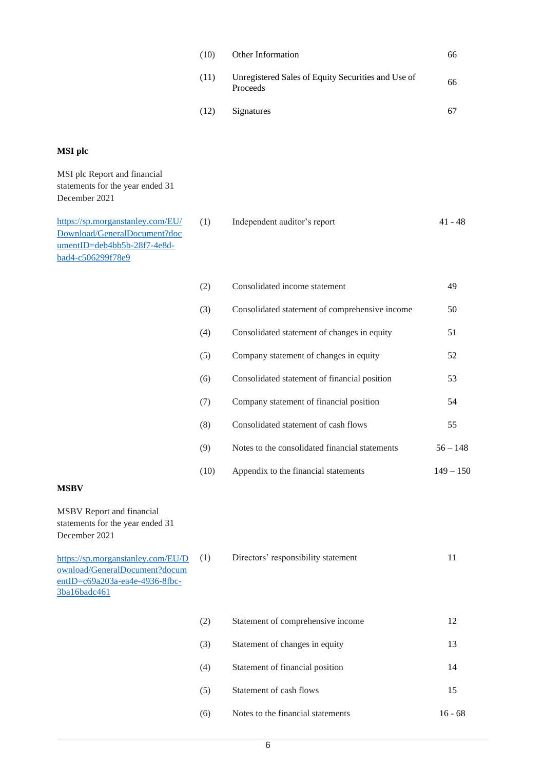| (10) | <b>Other Information</b>                                       | 66 |
|------|----------------------------------------------------------------|----|
| (11) | Unregistered Sales of Equity Securities and Use of<br>Proceeds | 66 |
| (12) | Signatures                                                     | 67 |

#### **MSI plc**

MSI plc Report and financial statements for the year ended 31 December 2021 [https://sp.morganstanley.com/EU/](https://sp.morganstanley.com/EU/Download/GeneralDocument?documentID=deb4bb5b-28f7-4e8d-bad4-c506299f78e9) [Download/GeneralDocument?doc](https://sp.morganstanley.com/EU/Download/GeneralDocument?documentID=deb4bb5b-28f7-4e8d-bad4-c506299f78e9) (1) Independent auditor's report 41 - 48

| (2)  | Consolidated income statement                  | 49          |
|------|------------------------------------------------|-------------|
| (3)  | Consolidated statement of comprehensive income | 50          |
| (4)  | Consolidated statement of changes in equity    | 51          |
| (5)  | Company statement of changes in equity         | 52          |
| (6)  | Consolidated statement of financial position   | 53          |
| (7)  | Company statement of financial position        | 54          |
| (8)  | Consolidated statement of cash flows           | 55          |
| (9)  | Notes to the consolidated financial statements | $56 - 148$  |
| (10) | Appendix to the financial statements           | $149 - 150$ |

#### **MSBV**

MSBV Report and financial statements for the year ended 31 December 2021

[umentID=deb4bb5b-28f7-4e8d-](https://sp.morganstanley.com/EU/Download/GeneralDocument?documentID=deb4bb5b-28f7-4e8d-bad4-c506299f78e9)

[bad4-c506299f78e9](https://sp.morganstanley.com/EU/Download/GeneralDocument?documentID=deb4bb5b-28f7-4e8d-bad4-c506299f78e9)

[https://sp.morganstanley.com/EU/D](https://sp.morganstanley.com/EU/Download/GeneralDocument?documentID=c69a203a-ea4e-4936-8fbc-3ba16badc461) [ownload/GeneralDocument?docum](https://sp.morganstanley.com/EU/Download/GeneralDocument?documentID=c69a203a-ea4e-4936-8fbc-3ba16badc461) [entID=c69a203a-ea4e-4936-8fbc-](https://sp.morganstanley.com/EU/Download/GeneralDocument?documentID=c69a203a-ea4e-4936-8fbc-3ba16badc461)[3ba16badc461](https://sp.morganstanley.com/EU/Download/GeneralDocument?documentID=c69a203a-ea4e-4936-8fbc-3ba16badc461)

| (1) | Directors' responsibility statement |  |
|-----|-------------------------------------|--|
|-----|-------------------------------------|--|

| (2) | Statement of comprehensive income | 12         |
|-----|-----------------------------------|------------|
| (3) | Statement of changes in equity    | 13         |
| (4) | Statement of financial position   | 14         |
| (5) | Statement of cash flows           | 15         |
| (6) | Notes to the financial statements | 68<br>16 - |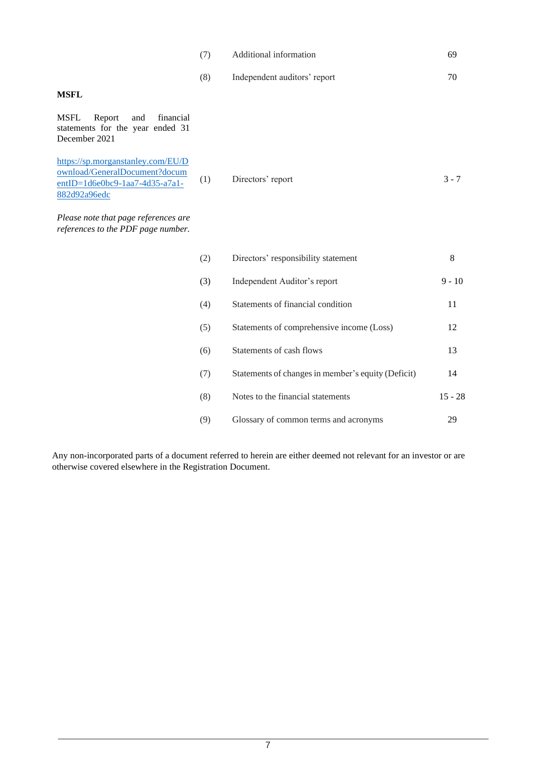|                                                                                                                      | (7) | Additional information       | 69      |
|----------------------------------------------------------------------------------------------------------------------|-----|------------------------------|---------|
|                                                                                                                      | (8) | Independent auditors' report | 70      |
| <b>MSFL</b>                                                                                                          |     |                              |         |
| <b>MSFL</b><br>and<br>financial<br>Report<br>statements for the year ended 31<br>December 2021                       |     |                              |         |
| https://sp.morganstanley.com/EU/D<br>ownload/GeneralDocument?docum<br>entID=1d6e0bc9-1aa7-4d35-a7a1-<br>882d92a96edc | (1) | Directors' report            | $3 - 7$ |

*Please note that page references are references to the PDF page number.*

| (2) | Directors' responsibility statement                | 8         |
|-----|----------------------------------------------------|-----------|
| (3) | Independent Auditor's report                       | $9 - 10$  |
| (4) | Statements of financial condition                  | 11        |
| (5) | Statements of comprehensive income (Loss)          | 12        |
| (6) | Statements of cash flows                           | 13        |
| (7) | Statements of changes in member's equity (Deficit) | 14        |
| (8) | Notes to the financial statements                  | $15 - 28$ |
| (9) | Glossary of common terms and acronyms              | 29        |

Any non-incorporated parts of a document referred to herein are either deemed not relevant for an investor or are otherwise covered elsewhere in the Registration Document.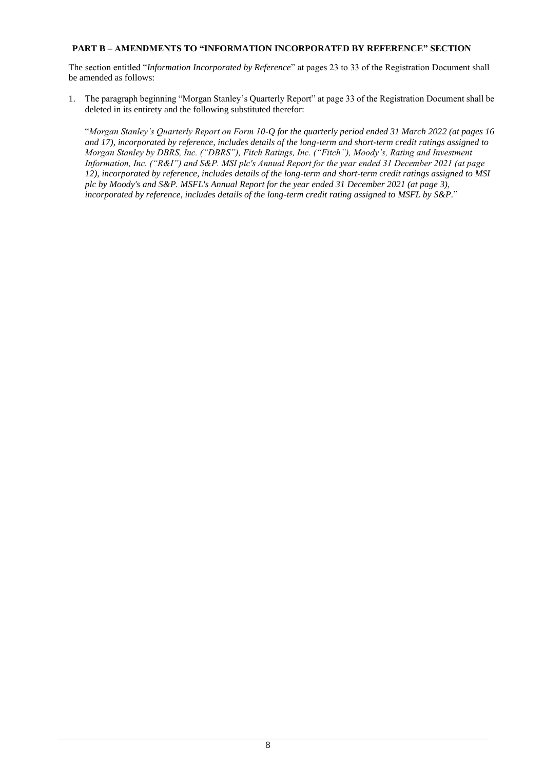#### **PART B – AMENDMENTS TO "INFORMATION INCORPORATED BY REFERENCE" SECTION**

The section entitled "*Information Incorporated by Reference*" at pages 23 to 33 of the Registration Document shall be amended as follows:

1. The paragraph beginning "Morgan Stanley's Quarterly Report" at page 33 of the Registration Document shall be deleted in its entirety and the following substituted therefor:

"*Morgan Stanley's Quarterly Report on Form 10-Q for the quarterly period ended 31 March 2022 (at pages 16 and 17), incorporated by reference, includes details of the long-term and short-term credit ratings assigned to Morgan Stanley by DBRS, Inc. ("DBRS"), Fitch Ratings, Inc. ("Fitch"), Moody's, Rating and Investment Information, Inc. ("R&I") and S&P. MSI plc's Annual Report for the year ended 31 December 2021 (at page 12), incorporated by reference, includes details of the long-term and short-term credit ratings assigned to MSI plc by Moody's and S&P. MSFL's Annual Report for the year ended 31 December 2021 (at page 3), incorporated by reference, includes details of the long-term credit rating assigned to MSFL by S&P.*"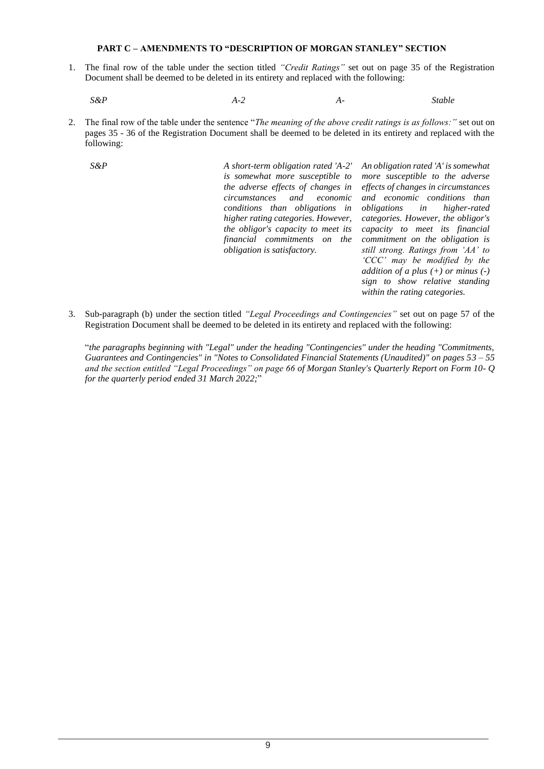#### **PART C – AMENDMENTS TO "DESCRIPTION OF MORGAN STANLEY" SECTION**

1. The final row of the table under the section titled *"Credit Ratings"* set out on page 35 of the Registration Document shall be deemed to be deleted in its entirety and replaced with the following:

*S&P A-2 A- Stable*

2. The final row of the table under the sentence "*The meaning of the above credit ratings is as follows:"* set out on pages 35 - 36 of the Registration Document shall be deemed to be deleted in its entirety and replaced with the following:

*S&P A short-term obligation rated 'A-2' is somewhat more susceptible to the adverse effects of changes in circumstances and economic conditions than obligations in higher rating categories. However, the obligor's capacity to meet its financial commitments on the obligation is satisfactory.* 

*An obligation rated 'A' is somewhat more susceptible to the adverse effects of changes in circumstances and economic conditions than obligations in higher-rated categories. However, the obligor's capacity to meet its financial commitment on the obligation is still strong. Ratings from 'AA' to 'CCC' may be modified by the addition of a plus (+) or minus (-) sign to show relative standing within the rating categories.*

3. Sub-paragraph (b) under the section titled *"Legal Proceedings and Contingencies"* set out on page 57 of the Registration Document shall be deemed to be deleted in its entirety and replaced with the following:

"*the paragraphs beginning with "Legal" under the heading "Contingencies" under the heading "Commitments, Guarantees and Contingencies" in "Notes to Consolidated Financial Statements (Unaudited)" on pages 53 – 55 and the section entitled "Legal Proceedings" on page 66 of Morgan Stanley's Quarterly Report on Form 10- Q for the quarterly period ended 31 March 2022;*"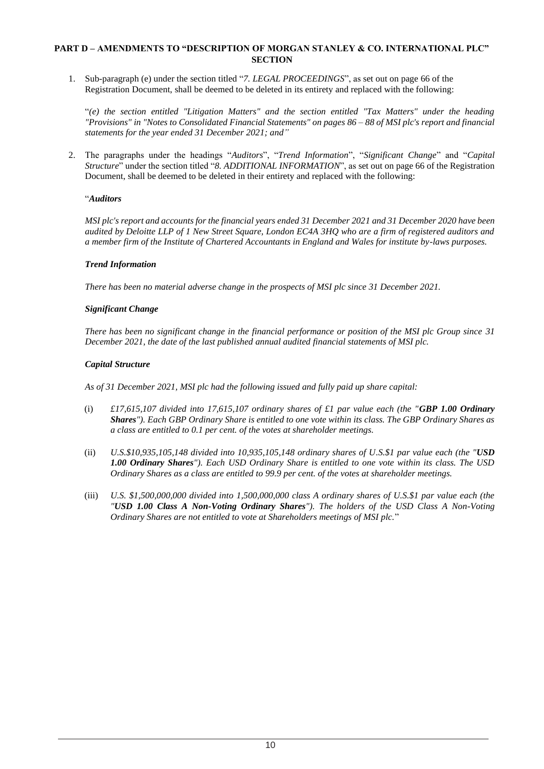## **PART D – AMENDMENTS TO "DESCRIPTION OF MORGAN STANLEY & CO. INTERNATIONAL PLC" SECTION**

1. Sub-paragraph (e) under the section titled "*7. LEGAL PROCEEDINGS*", as set out on page 66 of the Registration Document, shall be deemed to be deleted in its entirety and replaced with the following:

"*(e) the section entitled "Litigation Matters" and the section entitled "Tax Matters" under the heading "Provisions" in "Notes to Consolidated Financial Statements" on pages 86 – 88 of MSI plc's report and financial statements for the year ended 31 December 2021; and"*

2. The paragraphs under the headings "*Auditors*", "*Trend Information*", "*Significant Change*" and "*Capital Structure*" under the section titled "*8. ADDITIONAL INFORMATION*", as set out on page 66 of the Registration Document, shall be deemed to be deleted in their entirety and replaced with the following:

## "*Auditors*

*MSI plc's report and accounts for the financial years ended 31 December 2021 and 31 December 2020 have been audited by Deloitte LLP of 1 New Street Square, London EC4A 3HQ who are a firm of registered auditors and a member firm of the Institute of Chartered Accountants in England and Wales for institute by-laws purposes.*

#### *Trend Information*

*There has been no material adverse change in the prospects of MSI plc since 31 December 2021.*

## *Significant Change*

*There has been no significant change in the financial performance or position of the MSI plc Group since 31 December 2021, the date of the last published annual audited financial statements of MSI plc.*

#### *Capital Structure*

*As of 31 December 2021, MSI plc had the following issued and fully paid up share capital:*

- (i) *£17,615,107 divided into 17,615,107 ordinary shares of £1 par value each (the "GBP 1.00 Ordinary Shares"). Each GBP Ordinary Share is entitled to one vote within its class. The GBP Ordinary Shares as a class are entitled to 0.1 per cent. of the votes at shareholder meetings.*
- (ii) *U.S.\$10,935,105,148 divided into 10,935,105,148 ordinary shares of U.S.\$1 par value each (the "USD 1.00 Ordinary Shares"). Each USD Ordinary Share is entitled to one vote within its class. The USD Ordinary Shares as a class are entitled to 99.9 per cent. of the votes at shareholder meetings.*
- (iii) *U.S. \$1,500,000,000 divided into 1,500,000,000 class A ordinary shares of U.S.\$1 par value each (the "USD 1.00 Class A Non-Voting Ordinary Shares"). The holders of the USD Class A Non-Voting Ordinary Shares are not entitled to vote at Shareholders meetings of MSI plc.*"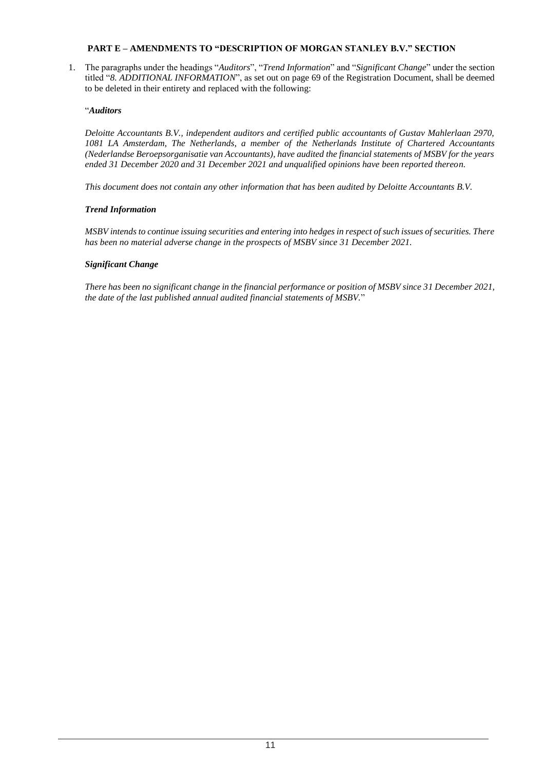# **PART E – AMENDMENTS TO "DESCRIPTION OF MORGAN STANLEY B.V." SECTION**

1. The paragraphs under the headings "*Auditors*", "*Trend Information*" and "*Significant Change*" under the section titled "*8. ADDITIONAL INFORMATION*", as set out on page 69 of the Registration Document, shall be deemed to be deleted in their entirety and replaced with the following:

## "*Auditors*

*Deloitte Accountants B.V., independent auditors and certified public accountants of Gustav Mahlerlaan 2970, 1081 LA Amsterdam, The Netherlands, a member of the Netherlands Institute of Chartered Accountants (Nederlandse Beroepsorganisatie van Accountants), have audited the financial statements of MSBV for the years ended 31 December 2020 and 31 December 2021 and unqualified opinions have been reported thereon.* 

*This document does not contain any other information that has been audited by Deloitte Accountants B.V.*

## *Trend Information*

*MSBV intends to continue issuing securities and entering into hedges in respect of such issues of securities. There has been no material adverse change in the prospects of MSBV since 31 December 2021.*

## *Significant Change*

*There has been no significant change in the financial performance or position of MSBV since 31 December 2021, the date of the last published annual audited financial statements of MSBV.*"